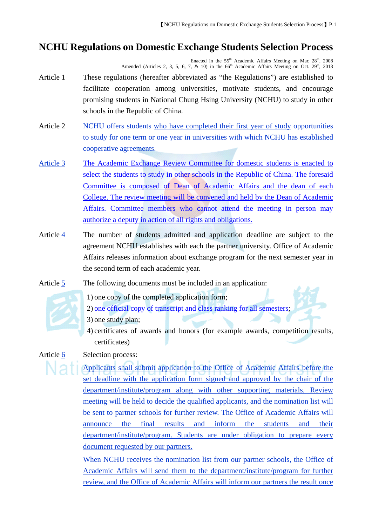## **NCHU Regulations on Domestic Exchange Students Selection Process**

Enacted in the  $55<sup>th</sup>$  Academic Affairs Meeting on Mar.  $28<sup>th</sup>$ ,  $2008$ Amended (Articles 2, 3, 5, 6, 7, & 10) in the  $66<sup>th</sup>$  Academic Affairs Meeting on Oct. 29<sup>th</sup>, 2013

- Article 1 These regulations (hereafter abbreviated as "the Regulations") are established to facilitate cooperation among universities, motivate students, and encourage promising students in National Chung Hsing University (NCHU) to study in other schools in the Republic of China.
- Article 2 NCHU offers students who have completed their first year of study opportunities to study for one term or one year in universities with which NCHU has established cooperative agreements.
- Article 3 The Academic Exchange Review Committee for domestic students is enacted to select the students to study in other schools in the Republic of China. The foresaid Committee is composed of Dean of Academic Affairs and the dean of each College. The review meeting will be convened and held by the Dean of Academic Affairs. Committee members who cannot attend the meeting in person may authorize a deputy in action of all rights and obligations.
- Article 4 The number of students admitted and application deadline are subject to the agreement NCHU establishes with each the partner university. Office of Academic Affairs releases information about exchange program for the next semester year in the second term of each academic year.
- Article 5 The following documents must be included in an application:



- 1) one copy of the completed application form;
- 2) one official copy of transcript and class ranking for all semesters;
- 3) one study plan;
	- 4) certificates of awards and honors (for example awards, competition results, certificates)

Article 6 Selection process:

Applicants shall submit application to the Office of Academic Affairs before the set deadline with the application form signed and approved by the chair of the department/institute/program along with other supporting materials. Review meeting will be held to decide the qualified applicants, and the nomination list will be sent to partner schools for further review. The Office of Academic Affairs will announce the final results and inform the students and their department/institute/program. Students are under obligation to prepare every document requested by our partners.

When NCHU receives the nomination list from our partner schools, the Office of Academic Affairs will send them to the department/institute/program for further review, and the Office of Academic Affairs will inform our partners the result once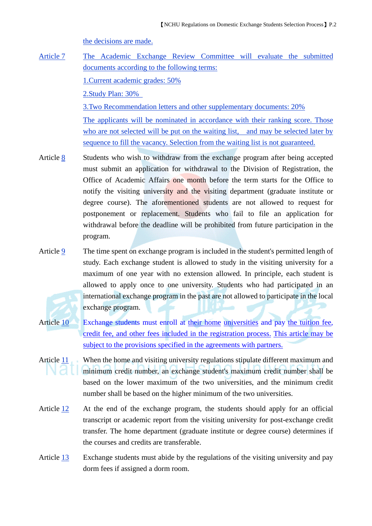the decisions are made.

Article 7 The Academic Exchange Review Committee will evaluate the submitted documents according to the following terms: 1.Current academic grades: 50% 2.Study Plan: 30%

> 3.Two Recommendation letters and other supplementary documents: 20% The applicants will be nominated in accordance with their ranking score. Those who are not selected will be put on the waiting list, and may be selected later by sequence to fill the vacancy. Selection from the waiting list is not guaranteed.

- Article 8 Students who wish to withdraw from the exchange program after being accepted must submit an application for withdrawal to the Division of Registration, the Office of Academic Affairs one month before the term starts for the Office to notify the visiting university and the visiting department (graduate institute or degree course). The aforementioned students are not allowed to request for postponement or replacement. Students who fail to file an application for withdrawal before the deadline will be prohibited from future participation in the program.
- Article 9 The time spent on exchange program is included in the student's permitted length of study. Each exchange student is allowed to study in the visiting university for a maximum of one year with no extension allowed. In principle, each student is allowed to apply once to one university. Students who had participated in an international exchange program in the past are not allowed to participate in the local exchange program.
- Article 10 Exchange students must enroll at their home universities and pay the tuition fee, credit fee, and other fees included in the registration process. This article may be subject to the provisions specified in the agreements with partners.
- Article 11 When the home and visiting university regulations stipulate different maximum and minimum credit number, an exchange student's maximum credit number shall be based on the lower maximum of the two universities, and the minimum credit number shall be based on the higher minimum of the two universities.
- Article 12 At the end of the exchange program, the students should apply for an official transcript or academic report from the visiting university for post-exchange credit transfer. The home department (graduate institute or degree course) determines if the courses and credits are transferable.
- Article 13 Exchange students must abide by the regulations of the visiting university and pay dorm fees if assigned a dorm room.